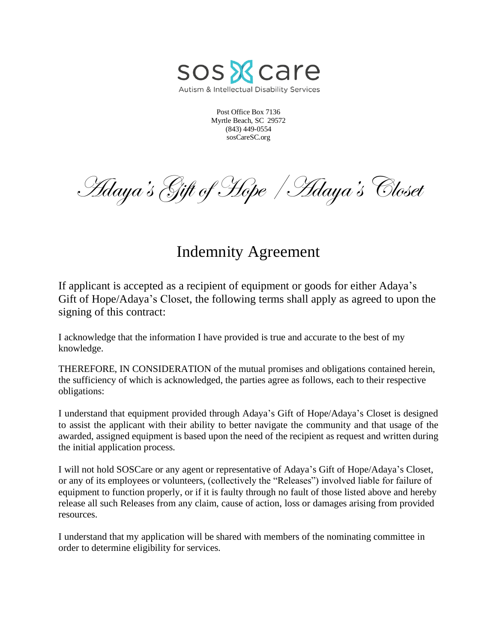

Post Office Box 7136 Myrtle Beach, SC 29572 (843) 449-0554 sosCareSC.org

Hdaya's Gift of Hope | Adaya's Closet

## Indemnity Agreement

If applicant is accepted as a recipient of equipment or goods for either Adaya's Gift of Hope/Adaya's Closet, the following terms shall apply as agreed to upon the signing of this contract:

I acknowledge that the information I have provided is true and accurate to the best of my knowledge.

THEREFORE, IN CONSIDERATION of the mutual promises and obligations contained herein, the sufficiency of which is acknowledged, the parties agree as follows, each to their respective obligations:

I understand that equipment provided through Adaya's Gift of Hope/Adaya's Closet is designed to assist the applicant with their ability to better navigate the community and that usage of the awarded, assigned equipment is based upon the need of the recipient as request and written during the initial application process.

I will not hold SOSCare or any agent or representative of Adaya's Gift of Hope/Adaya's Closet, or any of its employees or volunteers, (collectively the "Releases") involved liable for failure of equipment to function properly, or if it is faulty through no fault of those listed above and hereby release all such Releases from any claim, cause of action, loss or damages arising from provided resources.

I understand that my application will be shared with members of the nominating committee in order to determine eligibility for services.